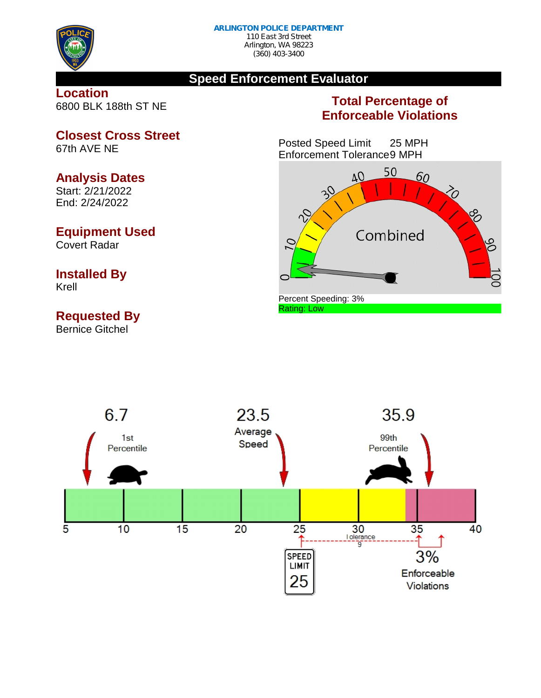

## **Speed Enforcement Evaluator**

## **Location** 6800 BLK 188th ST NE

## **Total Percentage of Enforceable Violations**

Posted Speed Limit 25 MPH Enforcement Tolerance9 MPH





**Closest Cross Street** 67th AVE NE

## **Analysis Dates**

Start: 2/21/2022 End: 2/24/2022

## **Equipment Used**

Covert Radar

# **Installed By**

Krell

# **Requested By**

Bernice Gitchel